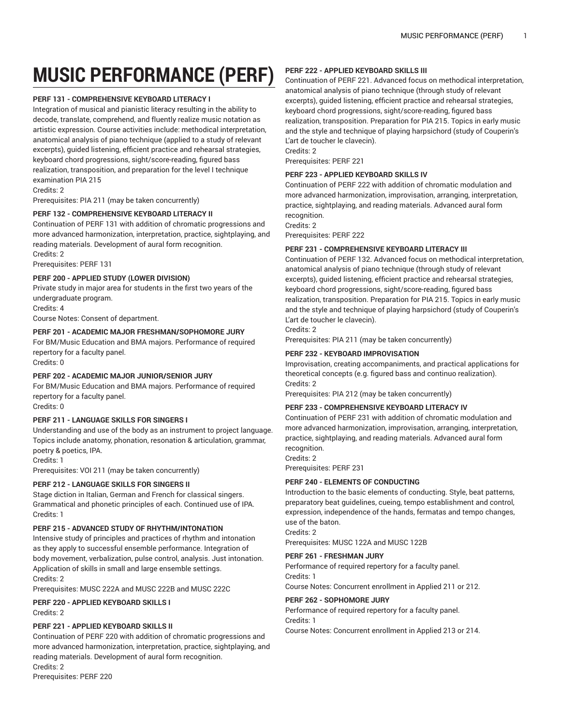# **MUSIC PERFORMANCE (PERF)**

# **PERF 131 - COMPREHENSIVE KEYBOARD LITERACY I**

Integration of musical and pianistic literacy resulting in the ability to decode, translate, comprehend, and fluently realize music notation as artistic expression. Course activities include: methodical interpretation, anatomical analysis of piano technique (applied to a study of relevant excerpts), guided listening, efficient practice and rehearsal strategies, keyboard chord progressions, sight/score-reading, figured bass realization, transposition, and preparation for the level I technique examination PIA 215

Credits: 2

Prerequisites: PIA 211 (may be taken concurrently)

# **PERF 132 - COMPREHENSIVE KEYBOARD LITERACY II**

Continuation of PERF 131 with addition of chromatic progressions and more advanced harmonization, interpretation, practice, sightplaying, and reading materials. Development of aural form recognition.

Credits: 2

Prerequisites: PERF 131

# **PERF 200 - APPLIED STUDY (LOWER DIVISION)**

Private study in major area for students in the first two years of the undergraduate program.

Credits: 4

Course Notes: Consent of department.

# **PERF 201 - ACADEMIC MAJOR FRESHMAN/SOPHOMORE JURY**

For BM/Music Education and BMA majors. Performance of required repertory for a faculty panel.

Credits: 0

# **PERF 202 - ACADEMIC MAJOR JUNIOR/SENIOR JURY**

For BM/Music Education and BMA majors. Performance of required repertory for a faculty panel.

Credits: 0

## **PERF 211 - LANGUAGE SKILLS FOR SINGERS I**

Understanding and use of the body as an instrument to project language. Topics include anatomy, phonation, resonation & articulation, grammar, poetry & poetics, IPA.

Credits: 1

Prerequisites: VOI 211 (may be taken concurrently)

## **PERF 212 - LANGUAGE SKILLS FOR SINGERS II**

Stage diction in Italian, German and French for classical singers. Grammatical and phonetic principles of each. Continued use of IPA. Credits: 1

## **PERF 215 - ADVANCED STUDY OF RHYTHM/INTONATION**

Intensive study of principles and practices of rhythm and intonation as they apply to successful ensemble performance. Integration of body movement, verbalization, pulse control, analysis. Just intonation. Application of skills in small and large ensemble settings. Credits: 2

Prerequisites: MUSC 222A and MUSC 222B and MUSC 222C

# **PERF 220 - APPLIED KEYBOARD SKILLS I**

Credits: 2

## **PERF 221 - APPLIED KEYBOARD SKILLS II**

Continuation of PERF 220 with addition of chromatic progressions and more advanced harmonization, interpretation, practice, sightplaying, and reading materials. Development of aural form recognition. Credits: 2 Prerequisites: PERF 220

# **PERF 222 - APPLIED KEYBOARD SKILLS III**

Continuation of PERF 221. Advanced focus on methodical interpretation, anatomical analysis of piano technique (through study of relevant excerpts), guided listening, efficient practice and rehearsal strategies, keyboard chord progressions, sight/score-reading, figured bass realization, transposition. Preparation for PIA 215. Topics in early music and the style and technique of playing harpsichord (study of Couperin's L'art de toucher le clavecin).

Credits: 2

Prerequisites: PERF 221

## **PERF 223 - APPLIED KEYBOARD SKILLS IV**

Continuation of PERF 222 with addition of chromatic modulation and more advanced harmonization, improvisation, arranging, interpretation, practice, sightplaying, and reading materials. Advanced aural form recognition.

Credits: 2

Prerequisites: PERF 222

# **PERF 231 - COMPREHENSIVE KEYBOARD LITERACY III**

Continuation of PERF 132. Advanced focus on methodical interpretation, anatomical analysis of piano technique (through study of relevant excerpts), guided listening, efficient practice and rehearsal strategies, keyboard chord progressions, sight/score-reading, figured bass realization, transposition. Preparation for PIA 215. Topics in early music and the style and technique of playing harpsichord (study of Couperin's L'art de toucher le clavecin).

Credits: 2

Prerequisites: PIA 211 (may be taken concurrently)

# **PERF 232 - KEYBOARD IMPROVISATION**

Improvisation, creating accompaniments, and practical applications for theoretical concepts (e.g. figured bass and continuo realization). Credits: 2

Prerequisites: PIA 212 (may be taken concurrently)

## **PERF 233 - COMPREHENSIVE KEYBOARD LITERACY IV**

Continuation of PERF 231 with addition of chromatic modulation and more advanced harmonization, improvisation, arranging, interpretation, practice, sightplaying, and reading materials. Advanced aural form recognition.

Credits: 2

Prerequisites: PERF 231

# **PERF 240 - ELEMENTS OF CONDUCTING**

Introduction to the basic elements of conducting. Style, beat patterns, preparatory beat guidelines, cueing, tempo establishment and control, expression, independence of the hands, fermatas and tempo changes, use of the baton.

Credits: 2

Prerequisites: MUSC 122A and MUSC 122B

## **PERF 261 - FRESHMAN JURY**

Performance of required repertory for a faculty panel. Credits: 1

Course Notes: Concurrent enrollment in Applied 211 or 212.

## **PERF 262 - SOPHOMORE JURY**

Performance of required repertory for a faculty panel. Credits: 1

Course Notes: Concurrent enrollment in Applied 213 or 214.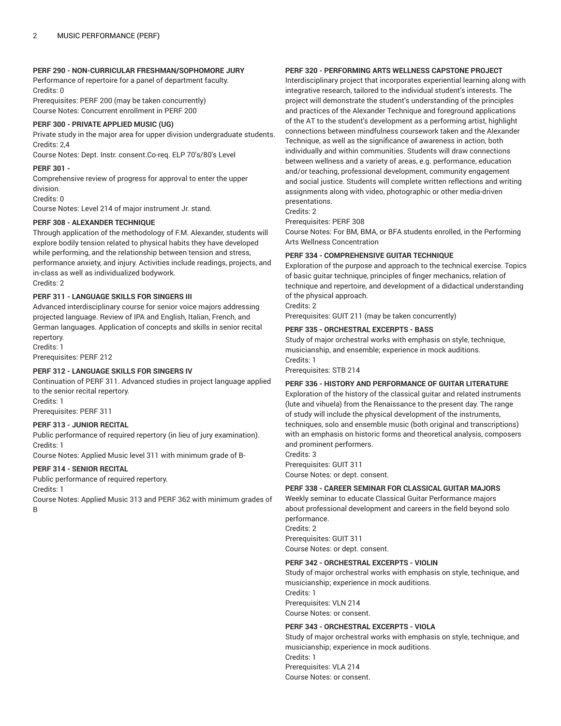## **PERF 290 - NON-CURRICULAR FRESHMAN/SOPHOMORE JURY**

Performance of repertoire for a panel of department faculty. Credits: 0

Prerequisites: PERF 200 (may be taken concurrently) Course Notes: Concurrent enrollment in PERF 200

## **PERF 300 - PRIVATE APPLIED MUSIC (UG)**

Private study in the major area for upper division undergraduate students. Credits: 2,4

Course Notes: Dept. Instr. consent.Co-req. ELP 70's/80's Level

#### **PERF 301 -**

Comprehensive review of progress for approval to enter the upper division.

#### Credits: 0

Course Notes: Level 214 of major instrument Jr. stand.

# **PERF 308 - ALEXANDER TECHNIQUE**

Through application of the methodology of F.M. Alexander, students will explore bodily tension related to physical habits they have developed while performing, and the relationship between tension and stress, performance anxiety, and injury. Activities include readings, projects, and in-class as well as individualized bodywork. Credits: 2

#### **PERF 311 - LANGUAGE SKILLS FOR SINGERS III**

Advanced interdisciplinary course for senior voice majors addressing projected language. Review of IPA and English, Italian, French, and German languages. Application of concepts and skills in senior recital repertory. Credits: 1

Prerequisites: PERF 212

#### **PERF 312 - LANGUAGE SKILLS FOR SINGERS IV**

Continuation of PERF 311. Advanced studies in project language applied to the senior recital repertory. Credits: 1

Prerequisites: PERF 311

#### **PERF 313 - JUNIOR RECITAL**

Public performance of required repertory (in lieu of jury examination). Credits: 1

Course Notes: Applied Music level 311 with minimum grade of B-

# **PERF 314 - SENIOR RECITAL**

Public performance of required repertory.

Credits: 1

Course Notes: Applied Music 313 and PERF 362 with minimum grades of B

# **PERF 320 - PERFORMING ARTS WELLNESS CAPSTONE PROJECT**

Interdisciplinary project that incorporates experiential learning along with integrative research, tailored to the individual student's interests. The project will demonstrate the student's understanding of the principles and practices of the Alexander Technique and foreground applications of the AT to the student's development as a performing artist, highlight connections between mindfulness coursework taken and the Alexander Technique, as well as the significance of awareness in action, both individually and within communities. Students will draw connections between wellness and a variety of areas, e.g. performance, education and/or teaching, professional development, community engagement and social justice. Students will complete written reflections and writing assignments along with video, photographic or other media-driven presentations.

Credits: 2

Prerequisites: PERF 308

Course Notes: For BM, BMA, or BFA students enrolled, in the Performing Arts Wellness Concentration

## **PERF 334 - COMPREHENSIVE GUITAR TECHNIQUE**

Exploration of the purpose and approach to the technical exercise. Topics of basic guitar technique, principles of finger mechanics, relation of technique and repertoire, and development of a didactical understanding of the physical approach.

Credits: 2

Prerequisites: GUIT 211 (may be taken concurrently)

# **PERF 335 - ORCHESTRAL EXCERPTS - BASS**

Study of major orchestral works with emphasis on style, technique, musicianship, and ensemble; experience in mock auditions. Credits: 1

Prerequisites: STB 214

#### **PERF 336 - HISTORY AND PERFORMANCE OF GUITAR LITERATURE**

Exploration of the history of the classical guitar and related instruments (lute and vihuela) from the Renaissance to the present day. The range of study will include the physical development of the instruments, techniques, solo and ensemble music (both original and transcriptions) with an emphasis on historic forms and theoretical analysis, composers and prominent performers.

Credits: 3 Prerequisites: GUIT 311 Course Notes: or dept. consent.

## **PERF 338 - CAREER SEMINAR FOR CLASSICAL GUITAR MAJORS**

Weekly seminar to educate Classical Guitar Performance majors about professional development and careers in the field beyond solo performance. Credits: 2

Prerequisites: GUIT 311 Course Notes: or dept. consent.

# **PERF 342 - ORCHESTRAL EXCERPTS - VIOLIN**

Study of major orchestral works with emphasis on style, technique, and musicianship; experience in mock auditions. Credits: 1 Prerequisites: VLN 214

Course Notes: or consent.

# **PERF 343 - ORCHESTRAL EXCERPTS - VIOLA**

Study of major orchestral works with emphasis on style, technique, and musicianship; experience in mock auditions. Credits: 1 Prerequisites: VLA 214 Course Notes: or consent.